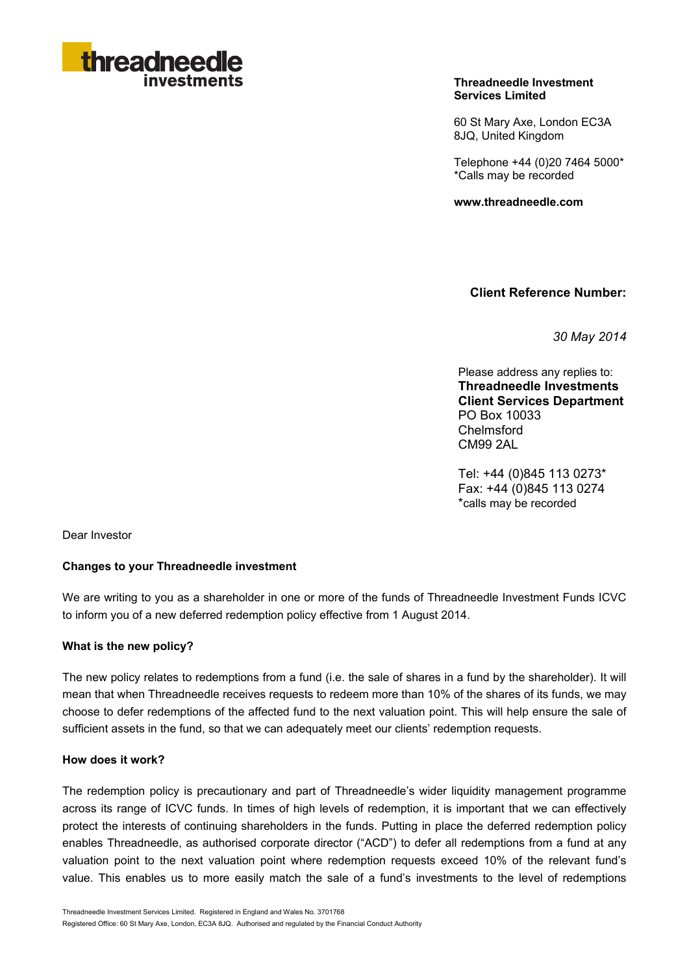

### **Threadneedle Investment Services Limited**

60 St Mary Axe, London EC3A 8JQ, United Kingdom

Telephone +44 (0)20 7464 5000\* \*Calls may be recorded

**www.threadneedle.com** 

**Client Reference Number:**

*30 May 2014*

Please address any replies to: **Threadneedle Investments Client Services Department** PO Box 10033 Chelmsford CM99 2AL

Tel: +44 (0)845 113 0273\* Fax: +44 (0)845 113 0274 \*calls may be recorded

Dear Investor

### **Changes to your Threadneedle investment**

We are writing to you as a shareholder in one or more of the funds of Threadneedle Investment Funds ICVC to inform you of a new deferred redemption policy effective from 1 August 2014.

#### **What is the new policy?**

The new policy relates to redemptions from a fund (i.e. the sale of shares in a fund by the shareholder). It will mean that when Threadneedle receives requests to redeem more than 10% of the shares of its funds, we may choose to defer redemptions of the affected fund to the next valuation point. This will help ensure the sale of sufficient assets in the fund, so that we can adequately meet our clients' redemption requests.

#### **How does it work?**

The redemption policy is precautionary and part of Threadneedle's wider liquidity management programme across its range of ICVC funds. In times of high levels of redemption, it is important that we can effectively protect the interests of continuing shareholders in the funds. Putting in place the deferred redemption policy enables Threadneedle, as authorised corporate director ("ACD") to defer all redemptions from a fund at any valuation point to the next valuation point where redemption requests exceed 10% of the relevant fund's value. This enables us to more easily match the sale of a fund's investments to the level of redemptions